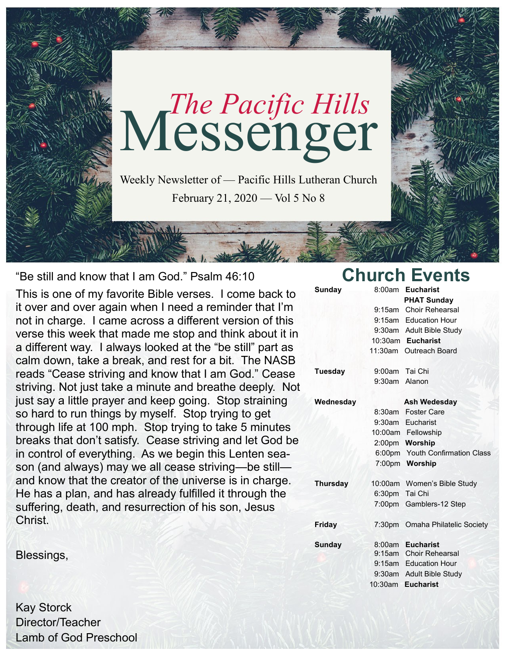

"Be still and know that I am God." Psalm 46:10

This is one of my favorite Bible verses. I come back to it over and over again when I need a reminder that I'm not in charge. I came across a different version of this verse this week that made me stop and think about it in a different way. I always looked at the "be still" part as calm down, take a break, and rest for a bit. The NASB reads "Cease striving and know that I am God." Cease striving. Not just take a minute and breathe deeply. Not just say a little prayer and keep going. Stop straining so hard to run things by myself. Stop trying to get through life at 100 mph. Stop trying to take 5 minutes breaks that don't satisfy. Cease striving and let God be in control of everything. As we begin this Lenten season (and always) may we all cease striving—be still and know that the creator of the universe is in charge. He has a plan, and has already fulfilled it through the suffering, death, and resurrection of his son, Jesus Christ.

Blessings,

Kay Storck Director/Teacher Lamb of God Preschool

## **Church Events**

| <b>Sunday</b>   | 8:00am             | <b>Eucharist</b>                |
|-----------------|--------------------|---------------------------------|
|                 |                    | <b>PHAT Sunday</b>              |
|                 | 9:15am             | <b>Choir Rehearsal</b>          |
|                 |                    | 9:15am Education Hour           |
|                 |                    | 9:30am Adult Bible Study        |
|                 |                    | 10:30am Eucharist               |
|                 |                    | 11:30am Outreach Board          |
| <b>Tuesday</b>  | 9:00am             | Tai Chi                         |
|                 | 9:30am Alanon      |                                 |
| Wednesday       |                    | <b>Ash Wedesday</b>             |
|                 | 8:30am             | <b>Foster Care</b>              |
|                 |                    | 9:30am Eucharist                |
|                 |                    | 10:00am Fellowship              |
|                 |                    | 2:00pm Worship                  |
|                 | 6:00 <sub>pm</sub> | <b>Youth Confirmation Class</b> |
|                 |                    | 7:00pm Worship                  |
| <b>Thursday</b> |                    | 10:00am Women's Bible Study     |
|                 | 6:30pm             | Tai Chi                         |
|                 | 7:00 <sub>pm</sub> | Gamblers-12 Step                |
| Friday          | 7:30 <sub>pm</sub> | Omaha Philatelic Society        |
| <b>Sunday</b>   | 8:00am             | <b>Eucharist</b>                |
|                 | $9:15$ am          | <b>Choir Rehearsal</b>          |
|                 |                    | 9:15am Education Hour           |
|                 |                    | 9:30am Adult Bible Study        |
|                 |                    | 10:30am Eucharist               |
|                 |                    |                                 |